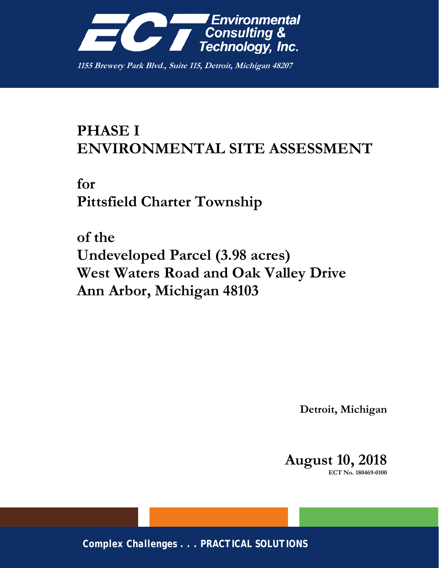

**1155 Brewery Park Blvd., Suite 115, Detroit, Michigan 48207**

# **PHASE I ENVIRONMENTAL SITE ASSESSMENT**

# **for Pittsfield Charter Township**

**of the Undeveloped Parcel (3.98 acres) West Waters Road and Oak Valley Drive Ann Arbor, Michigan 48103** 

**Detroit, Michigan** 

**August 10, 2018 ECT No. 180469-0100** 

*Complex Challenges . . . PRACTICAL SOLUTIONS*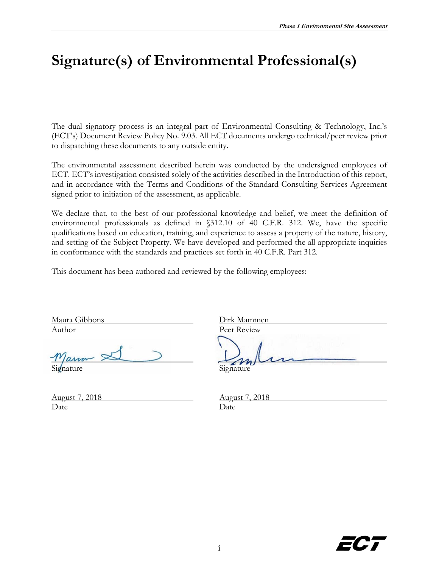# **Signature(s) of Environmental Professional(s)**

The dual signatory process is an integral part of Environmental Consulting & Technology, Inc.'s (ECT's) Document Review Policy No. 9.03. All ECT documents undergo technical/peer review prior to dispatching these documents to any outside entity.

The environmental assessment described herein was conducted by the undersigned employees of ECT. ECT's investigation consisted solely of the activities described in the Introduction of this report, and in accordance with the Terms and Conditions of the Standard Consulting Services Agreement signed prior to initiation of the assessment, as applicable.

We declare that, to the best of our professional knowledge and belief, we meet the definition of environmental professionals as defined in §312.10 of 40 C.F.R. 312. We, have the specific qualifications based on education, training, and experience to assess a property of the nature, history, and setting of the Subject Property. We have developed and performed the all appropriate inquiries in conformance with the standards and practices set forth in 40 C.F.R. Part 312.

This document has been authored and reviewed by the following employees:

Maura Gibbons Author Peer Review

Marin Signature Signature Signature

August 7, 2018 Date Date

| Dirk Mammen |  |
|-------------|--|
| Peer Review |  |
|             |  |
| $r\rho$     |  |

| August 7, 2018 |  |  |
|----------------|--|--|
| Date           |  |  |

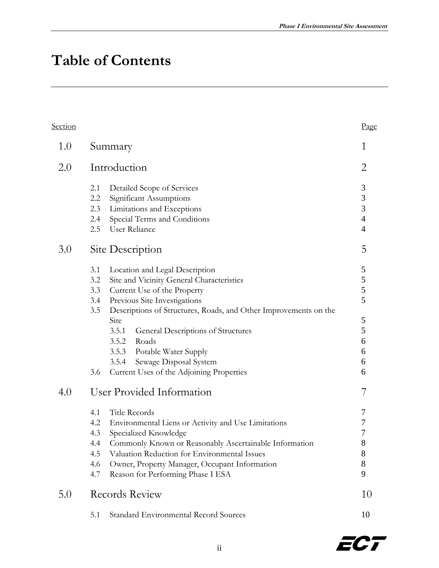# **Table of Contents**

| <u>Section</u> |                                                                                                                                                                                                                                                                                                                                                                                                                                                   | Page                                                         |
|----------------|---------------------------------------------------------------------------------------------------------------------------------------------------------------------------------------------------------------------------------------------------------------------------------------------------------------------------------------------------------------------------------------------------------------------------------------------------|--------------------------------------------------------------|
| 1.0            | Summary                                                                                                                                                                                                                                                                                                                                                                                                                                           | 1                                                            |
| 2.0            | Introduction                                                                                                                                                                                                                                                                                                                                                                                                                                      | 2                                                            |
|                | 2.1<br>Detailed Scope of Services<br>2.2<br>Significant Assumptions<br>Limitations and Exceptions<br>2.3<br>Special Terms and Conditions<br>2.4<br>User Reliance<br>2.5                                                                                                                                                                                                                                                                           | 3<br>$\mathfrak{Z}$<br>3<br>$\overline{4}$<br>$\overline{4}$ |
| 3.0            | Site Description                                                                                                                                                                                                                                                                                                                                                                                                                                  | 5                                                            |
|                | 3.1<br>Location and Legal Description<br>3.2<br>Site and Vicinity General Characteristics<br>3.3<br>Current Use of the Property<br>3.4<br>Previous Site Investigations<br>3.5<br>Descriptions of Structures, Roads, and Other Improvements on the<br>Site<br>3.5.1<br>General Descriptions of Structures<br>3.5.2<br>Roads<br>3.5.3<br>Potable Water Supply<br>Sewage Disposal System<br>3.5.4<br>3.6<br>Current Uses of the Adjoining Properties | 5<br>$\mathfrak{S}$<br>5<br>5<br>5<br>5<br>6<br>6<br>6<br>6  |
| 4.0            | User Provided Information<br>Title Records<br>4.1<br>4.2<br>Environmental Liens or Activity and Use Limitations<br>Specialized Knowledge<br>4.3<br>Commonly Known or Reasonably Ascertainable Information<br>4.4<br>Valuation Reduction for Environmental Issues<br>4.5<br>4.6<br>Owner, Property Manager, Occupant Information<br>Reason for Performing Phase I ESA<br>4.7                                                                       | 7<br>7<br>$\boldsymbol{7}$<br>7<br>$8\,$<br>8<br>8<br>9      |
| 5.0            | <b>Records Review</b>                                                                                                                                                                                                                                                                                                                                                                                                                             | 10                                                           |
|                | <b>Standard Environmental Record Sources</b><br>5.1                                                                                                                                                                                                                                                                                                                                                                                               | 10                                                           |

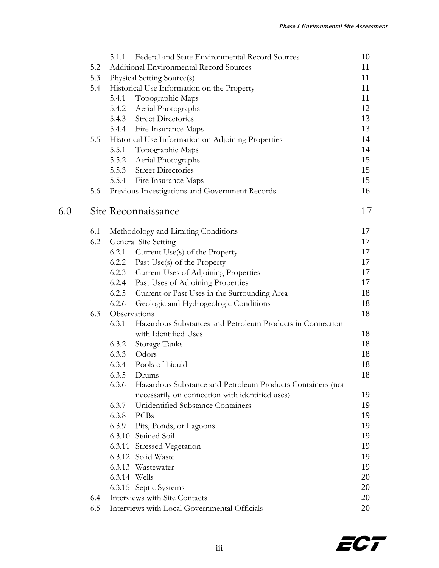|     |     | 5.1.1        | Federal and State Environmental Record Sources             | 10 |
|-----|-----|--------------|------------------------------------------------------------|----|
|     | 5.2 |              | Additional Environmental Record Sources                    | 11 |
|     | 5.3 |              | Physical Setting Source(s)                                 | 11 |
|     | 5.4 |              | Historical Use Information on the Property                 | 11 |
|     |     | 5.4.1        | Topographic Maps                                           | 11 |
|     |     | 5.4.2        | Aerial Photographs                                         | 12 |
|     |     | 5.4.3        | <b>Street Directories</b>                                  | 13 |
|     |     |              | 5.4.4 Fire Insurance Maps                                  | 13 |
|     | 5.5 |              | Historical Use Information on Adjoining Properties         | 14 |
|     |     | 5.5.1        | Topographic Maps                                           | 14 |
|     |     | 5.5.2        | Aerial Photographs                                         | 15 |
|     |     | 5.5.3        | <b>Street Directories</b>                                  | 15 |
|     |     | 5.5.4        | Fire Insurance Maps                                        | 15 |
|     | 5.6 |              | Previous Investigations and Government Records             | 16 |
| 6.0 |     |              | Site Reconnaissance                                        | 17 |
|     | 6.1 |              | Methodology and Limiting Conditions                        | 17 |
|     | 6.2 |              | General Site Setting                                       | 17 |
|     |     | 6.2.1        | Current Use(s) of the Property                             | 17 |
|     |     | 6.2.2        | Past Use(s) of the Property                                | 17 |
|     |     | 6.2.3        | Current Uses of Adjoining Properties                       | 17 |
|     |     | 6.2.4        | Past Uses of Adjoining Properties                          | 17 |
|     |     | 6.2.5        | Current or Past Uses in the Surrounding Area               | 18 |
|     |     | 6.2.6        | Geologic and Hydrogeologic Conditions                      | 18 |
|     | 6.3 | Observations |                                                            | 18 |
|     |     | 6.3.1        | Hazardous Substances and Petroleum Products in Connection  |    |
|     |     |              | with Identified Uses                                       | 18 |
|     |     | 6.3.2        | Storage Tanks                                              | 18 |
|     |     | 6.3.3        | Odors                                                      | 18 |
|     |     | 6.3.4        | Pools of Liquid                                            | 18 |
|     |     | 6.3.5        | Drums                                                      | 18 |
|     |     | 6.3.6        | Hazardous Substance and Petroleum Products Containers (not |    |
|     |     |              | necessarily on connection with identified uses)            | 19 |
|     |     | 6.3.7        | Unidentified Substance Containers                          | 19 |
|     |     | 6.3.8        | <b>PCBs</b>                                                | 19 |
|     |     | 6.3.9        | Pits, Ponds, or Lagoons                                    | 19 |
|     |     |              | 6.3.10 Stained Soil                                        | 19 |
|     |     | 6.3.11       | <b>Stressed Vegetation</b>                                 | 19 |
|     |     |              | 6.3.12 Solid Waste                                         | 19 |
|     |     |              | 6.3.13 Wastewater                                          | 19 |
|     |     | 6.3.14 Wells |                                                            | 20 |
|     |     |              | 6.3.15 Septic Systems                                      | 20 |
|     | 6.4 |              | Interviews with Site Contacts                              | 20 |
|     | 6.5 |              | Interviews with Local Governmental Officials               | 20 |

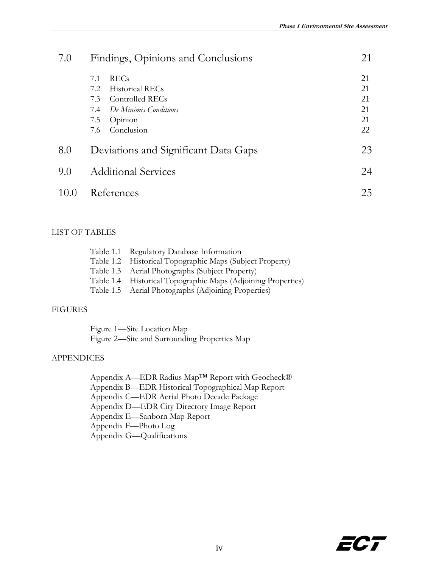| 7.0  | Findings, Opinions and Conclusions                     |          |
|------|--------------------------------------------------------|----------|
|      | <b>RECs</b><br>7.1<br><b>Historical RECs</b><br>7.2    | 21<br>21 |
|      | Controlled RECs<br>7.3<br>De Minimis Conditions<br>7.4 | 21<br>21 |
|      | Opinion<br>7.5<br>Conclusion<br>7.6                    | 21<br>22 |
| 8.0  | Deviations and Significant Data Gaps                   | 23       |
| 9.0  | <b>Additional Services</b>                             | 24       |
| 10.0 | References<br>25                                       |          |

#### LIST OF TABLES

| Table 1.1 Regulatory Database Information                    |
|--------------------------------------------------------------|
| Table 1.2 Historical Topographic Maps (Subject Property)     |
| Table 1.3 Aerial Photographs (Subject Property)              |
| Table 1.4 Historical Topographic Maps (Adjoining Properties) |
| Table 1.5 Aerial Photographs (Adjoining Properties)          |

#### FIGURES

 Figure 1—Site Location Map Figure 2—Site and Surrounding Properties Map

#### APPENDICES

 Appendix A—EDR Radius Map™ Report with Geocheck® Appendix B—EDR Historical Topographical Map Report Appendix C—EDR Aerial Photo Decade Package Appendix D—EDR City Directory Image Report Appendix E—Sanborn Map Report Appendix F—Photo Log Appendix G—Qualifications

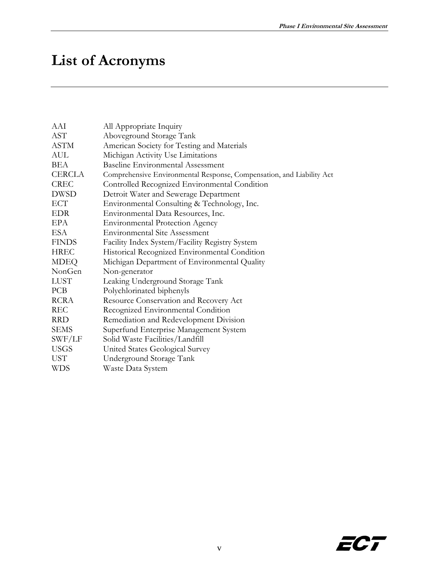# **List of Acronyms**

| AAI              | All Appropriate Inquiry                                               |
|------------------|-----------------------------------------------------------------------|
| AST              | Aboveground Storage Tank                                              |
| ASTM             | American Society for Testing and Materials                            |
| AUL              | Michigan Activity Use Limitations                                     |
| BEA              | <b>Baseline Environmental Assessment</b>                              |
| <b>CERCLA</b>    | Comprehensive Environmental Response, Compensation, and Liability Act |
| <b>CREC</b>      | Controlled Recognized Environmental Condition                         |
| <b>DWSD</b>      | Detroit Water and Sewerage Department                                 |
| ECT              | Environmental Consulting & Technology, Inc.                           |
| <b>EDR</b>       | Environmental Data Resources, Inc.                                    |
| EPA              | <b>Environmental Protection Agency</b>                                |
| <b>ESA</b>       | <b>Environmental Site Assessment</b>                                  |
| <b>FINDS</b>     | Facility Index System/Facility Registry System                        |
| <b>HREC</b>      | Historical Recognized Environmental Condition                         |
| <b>MDEQ</b>      | Michigan Department of Environmental Quality                          |
| NonGen           | Non-generator                                                         |
| <b>LUST</b>      | Leaking Underground Storage Tank                                      |
| PCB              | Polychlorinated biphenyls                                             |
| <b>RCRA</b>      | Resource Conservation and Recovery Act                                |
| <b>REC</b>       | Recognized Environmental Condition                                    |
| <b>RRD</b>       | Remediation and Redevelopment Division                                |
| <b>SEMS</b>      | Superfund Enterprise Management System                                |
| SWF/LF           | Solid Waste Facilities/Landfill                                       |
| <b>USGS</b>      | United States Geological Survey                                       |
| UST <sup>-</sup> | Underground Storage Tank                                              |
| <b>WDS</b>       | Waste Data System                                                     |

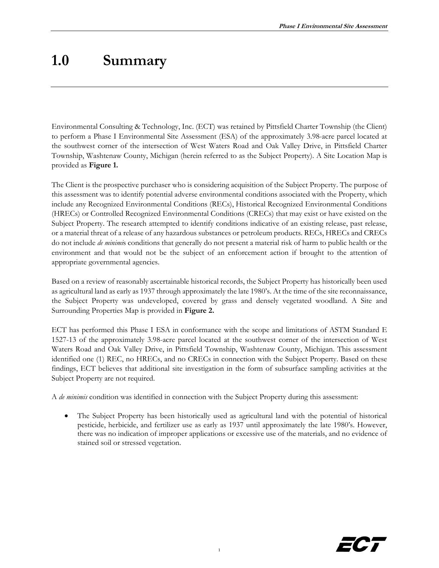# **1.0 Summary**

Environmental Consulting & Technology, Inc. (ECT) was retained by Pittsfield Charter Township (the Client) to perform a Phase I Environmental Site Assessment (ESA) of the approximately 3.98-acre parcel located at the southwest corner of the intersection of West Waters Road and Oak Valley Drive, in Pittsfield Charter Township, Washtenaw County, Michigan (herein referred to as the Subject Property). A Site Location Map is provided as **Figure 1.** 

The Client is the prospective purchaser who is considering acquisition of the Subject Property. The purpose of this assessment was to identify potential adverse environmental conditions associated with the Property, which include any Recognized Environmental Conditions (RECs), Historical Recognized Environmental Conditions (HRECs) or Controlled Recognized Environmental Conditions (CRECs) that may exist or have existed on the Subject Property. The research attempted to identify conditions indicative of an existing release, past release, or a material threat of a release of any hazardous substances or petroleum products. RECs, HRECs and CRECs do not include *de minimi*s conditions that generally do not present a material risk of harm to public health or the environment and that would not be the subject of an enforcement action if brought to the attention of appropriate governmental agencies.

Based on a review of reasonably ascertainable historical records, the Subject Property has historically been used as agricultural land as early as 1937 through approximately the late 1980's. At the time of the site reconnaissance, the Subject Property was undeveloped, covered by grass and densely vegetated woodland. A Site and Surrounding Properties Map is provided in **Figure 2.**

ECT has performed this Phase I ESA in conformance with the scope and limitations of ASTM Standard E 1527-13 of the approximately 3.98-acre parcel located at the southwest corner of the intersection of West Waters Road and Oak Valley Drive, in Pittsfield Township, Washtenaw County, Michigan. This assessment identified one (1) REC, no HRECs, and no CRECs in connection with the Subject Property. Based on these findings, ECT believes that additional site investigation in the form of subsurface sampling activities at the Subject Property are not required.

A *de minimis* condition was identified in connection with the Subject Property during this assessment:

 The Subject Property has been historically used as agricultural land with the potential of historical pesticide, herbicide, and fertilizer use as early as 1937 until approximately the late 1980's. However, there was no indication of improper applications or excessive use of the materials, and no evidence of stained soil or stressed vegetation.

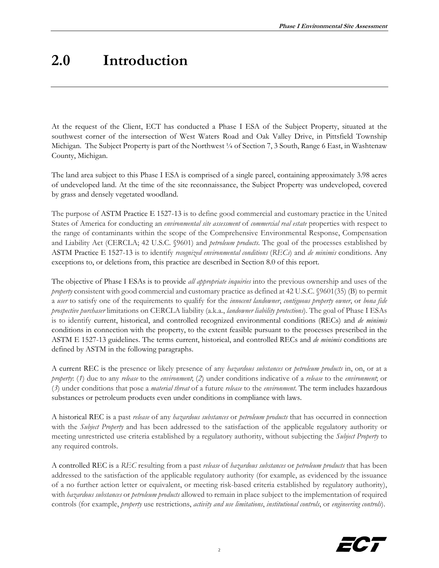# **2.0 Introduction**

At the request of the Client, ECT has conducted a Phase I ESA of the Subject Property, situated at the southwest corner of the intersection of West Waters Road and Oak Valley Drive, in Pittsfield Township Michigan. The Subject Property is part of the Northwest <sup>1</sup>/4 of Section 7, 3 South, Range 6 East, in Washtenaw County, Michigan.

The land area subject to this Phase I ESA is comprised of a single parcel, containing approximately 3.98 acres of undeveloped land. At the time of the site reconnaissance, the Subject Property was undeveloped, covered by grass and densely vegetated woodland.

The purpose of ASTM Practice E 1527-13 is to define good commercial and customary practice in the United States of America for conducting an *environmental site assessment* of *commercial real estate* properties with respect to the range of contaminants within the scope of the Comprehensive Environmental Response, Compensation and Liability Act (CERCLA; 42 U.S.C. §9601) and *petroleum products*. The goal of the processes established by ASTM Practice E 1527-13 is to identify *recognized environmental conditions* (*RECs*) and *de minimis* conditions. Any exceptions to, or deletions from, this practice are described in Section 8.0 of this report.

The objective of Phase I ESAs is to provide *all appropriate inquiries* into the previous ownership and uses of the *property* consistent with good commercial and customary practice as defined at 42 U.S.C. §9601(35) (B) to permit a *user* to satisfy one of the requirements to qualify for the *innocent landowner*, *contiguous property owner*, or *bona fide prospective purchaser* limitations on CERCLA liability (a.k.a., *landowner liability protections*). The goal of Phase I ESAs is to identify current, historical, and controlled recognized environmental conditions (RECs) and *de minimis* conditions in connection with the property, to the extent feasible pursuant to the processes prescribed in the ASTM E 1527-13 guidelines. The terms current, historical, and controlled RECs and *de minimis* conditions are defined by ASTM in the following paragraphs.

A current REC is the presence or likely presence of any *hazardous substances* or *petroleum products* in, on, or at a *property*: (*1*) due to any *release* to the *environment*; (*2*) under conditions indicative of a *release* to the *environment*; or (*3*) under conditions that pose a *material threat* of a future *release* to the *environment*. The term includes hazardous substances or petroleum products even under conditions in compliance with laws.

A historical REC is a past *release* of any *hazardous substances* or *petroleum products* that has occurred in connection with the *Subject Property* and has been addressed to the satisfaction of the applicable regulatory authority or meeting unrestricted use criteria established by a regulatory authority, without subjecting the *Subject Property* to any required controls.

A controlled REC is a *REC* resulting from a past *release* of *hazardous substances* or *petroleum products* that has been addressed to the satisfaction of the applicable regulatory authority (for example, as evidenced by the issuance of a no further action letter or equivalent, or meeting risk-based criteria established by regulatory authority), with *hazardous substances* or *petroleum products* allowed to remain in place subject to the implementation of required controls (for example, *property* use restrictions, *activity and use limitations*, *institutional controls*, or *engineering controls*).

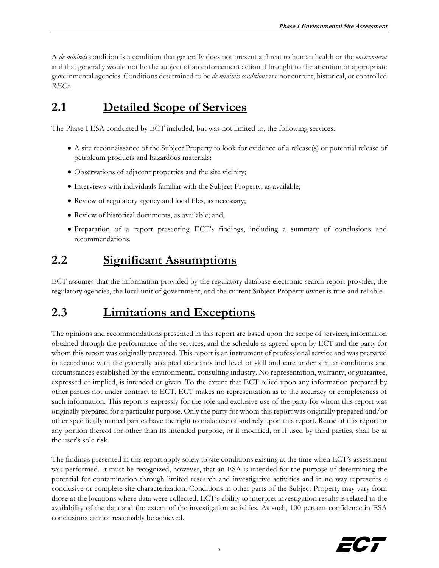A *de minimis* condition is a condition that generally does not present a threat to human health or the *environment*  and that generally would not be the subject of an enforcement action if brought to the attention of appropriate governmental agencies. Conditions determined to be *de minimis conditions* are not current, historical, or controlled *RECs*.

## **2.1 Detailed Scope of Services**

The Phase I ESA conducted by ECT included, but was not limited to, the following services:

- A site reconnaissance of the Subject Property to look for evidence of a release(s) or potential release of petroleum products and hazardous materials;
- Observations of adjacent properties and the site vicinity;
- Interviews with individuals familiar with the Subject Property, as available;
- Review of regulatory agency and local files, as necessary;
- Review of historical documents, as available; and,
- Preparation of a report presenting ECT's findings, including a summary of conclusions and recommendations.

# **2.2 Significant Assumptions**

ECT assumes that the information provided by the regulatory database electronic search report provider, the regulatory agencies, the local unit of government, and the current Subject Property owner is true and reliable.

### **2.3 Limitations and Exceptions**

The opinions and recommendations presented in this report are based upon the scope of services, information obtained through the performance of the services, and the schedule as agreed upon by ECT and the party for whom this report was originally prepared. This report is an instrument of professional service and was prepared in accordance with the generally accepted standards and level of skill and care under similar conditions and circumstances established by the environmental consulting industry. No representation, warranty, or guarantee, expressed or implied, is intended or given. To the extent that ECT relied upon any information prepared by other parties not under contract to ECT, ECT makes no representation as to the accuracy or completeness of such information. This report is expressly for the sole and exclusive use of the party for whom this report was originally prepared for a particular purpose. Only the party for whom this report was originally prepared and/or other specifically named parties have the right to make use of and rely upon this report. Reuse of this report or any portion thereof for other than its intended purpose, or if modified, or if used by third parties, shall be at the user's sole risk.

The findings presented in this report apply solely to site conditions existing at the time when ECT's assessment was performed. It must be recognized, however, that an ESA is intended for the purpose of determining the potential for contamination through limited research and investigative activities and in no way represents a conclusive or complete site characterization. Conditions in other parts of the Subject Property may vary from those at the locations where data were collected. ECT's ability to interpret investigation results is related to the availability of the data and the extent of the investigation activities. As such, 100 percent confidence in ESA conclusions cannot reasonably be achieved.

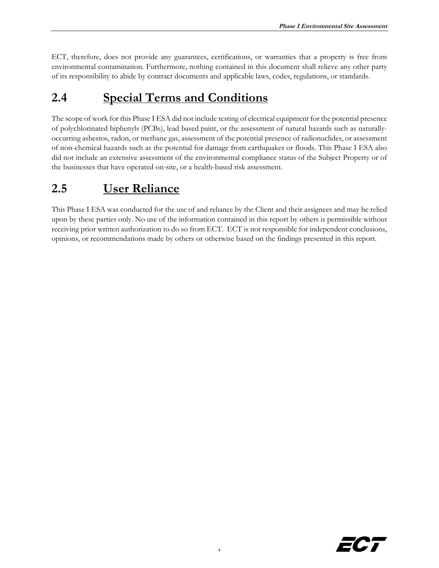ECT, therefore, does not provide any guarantees, certifications, or warranties that a property is free from environmental contamination. Furthermore, nothing contained in this document shall relieve any other party of its responsibility to abide by contract documents and applicable laws, codes, regulations, or standards.

### **2.4 Special Terms and Conditions**

The scope of work for this Phase I ESA did not include testing of electrical equipment for the potential presence of polychlorinated biphenyls (PCBs), lead based paint, or the assessment of natural hazards such as naturallyoccurring asbestos, radon, or methane gas, assessment of the potential presence of radionuclides, or assessment of non-chemical hazards such as the potential for damage from earthquakes or floods. This Phase I ESA also did not include an extensive assessment of the environmental compliance status of the Subject Property or of the businesses that have operated on-site, or a health-based risk assessment.

# **2.5 User Reliance**

This Phase I ESA was conducted for the use of and reliance by the Client and their assignees and may be relied upon by these parties only. No use of the information contained in this report by others is permissible without receiving prior written authorization to do so from ECT. ECT is not responsible for independent conclusions, opinions, or recommendations made by others or otherwise based on the findings presented in this report.

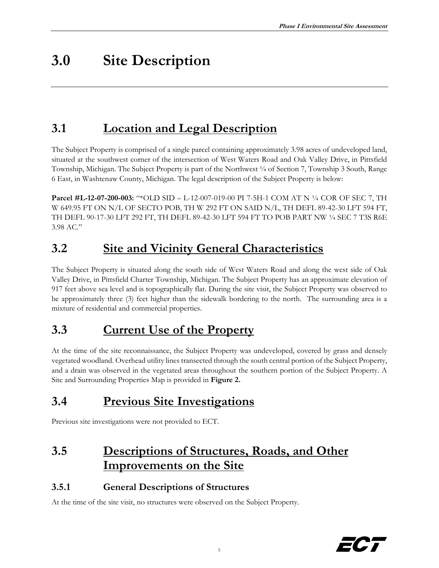# **3.0 Site Description**

## **3.1 Location and Legal Description**

The Subject Property is comprised of a single parcel containing approximately 3.98 acres of undeveloped land, situated at the southwest corner of the intersection of West Waters Road and Oak Valley Drive, in Pittsfield Township, Michigan. The Subject Property is part of the Northwest 1/4 of Section 7, Township 3 South, Range 6 East, in Washtenaw County, Michigan. The legal description of the Subject Property is below:

**Parcel #L-12-07-200-003:** "\*OLD SID – L-12-007-019-00 PI 7-5H-1 COM AT N ¼ COR OF SEC 7, TH W 649.95 FT ON N/L OF SECTO POB, TH W 292 FT ON SAID N/L, TH DEFL 89-42-30 LFT 594 FT, TH DEFL 90-17-30 LFT 292 FT, TH DEFL 89-42-30 LFT 594 FT TO POB PART NW ¼ SEC 7 T3S R6E 3.98 AC."

# **3.2 Site and Vicinity General Characteristics**

The Subject Property is situated along the south side of West Waters Road and along the west side of Oak Valley Drive, in Pittsfield Charter Township, Michigan. The Subject Property has an approximate elevation of 917 feet above sea level and is topographically flat. During the site visit, the Subject Property was observed to be approximately three (3) feet higher than the sidewalk bordering to the north. The surrounding area is a mixture of residential and commercial properties.

## **3.3 Current Use of the Property**

At the time of the site reconnaissance, the Subject Property was undeveloped, covered by grass and densely vegetated woodland. Overhead utility lines transected through the south central portion of the Subject Property, and a drain was observed in the vegetated areas throughout the southern portion of the Subject Property. A Site and Surrounding Properties Map is provided in **Figure 2.** 

# **3.4 Previous Site Investigations**

Previous site investigations were not provided to ECT.

# **3.5 Descriptions of Structures, Roads, and Other Improvements on the Site**

#### **3.5.1 General Descriptions of Structures**

At the time of the site visit, no structures were observed on the Subject Property.

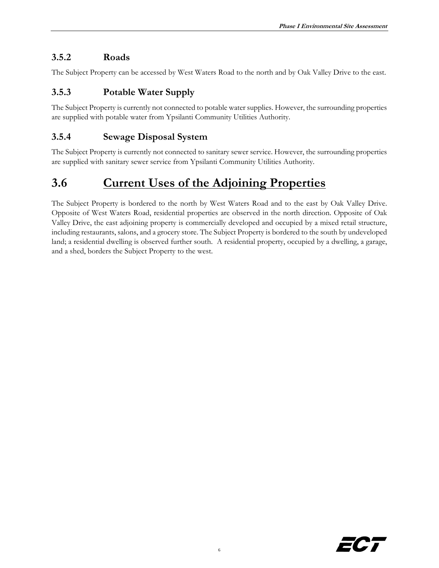#### **3.5.2 Roads**

The Subject Property can be accessed by West Waters Road to the north and by Oak Valley Drive to the east.

#### **3.5.3 Potable Water Supply**

The Subject Property is currently not connected to potable water supplies. However, the surrounding properties are supplied with potable water from Ypsilanti Community Utilities Authority.

#### **3.5.4 Sewage Disposal System**

The Subject Property is currently not connected to sanitary sewer service. However, the surrounding properties are supplied with sanitary sewer service from Ypsilanti Community Utilities Authority.

# **3.6 Current Uses of the Adjoining Properties**

The Subject Property is bordered to the north by West Waters Road and to the east by Oak Valley Drive. Opposite of West Waters Road, residential properties are observed in the north direction. Opposite of Oak Valley Drive, the east adjoining property is commercially developed and occupied by a mixed retail structure, including restaurants, salons, and a grocery store. The Subject Property is bordered to the south by undeveloped land; a residential dwelling is observed further south. A residential property, occupied by a dwelling, a garage, and a shed, borders the Subject Property to the west.

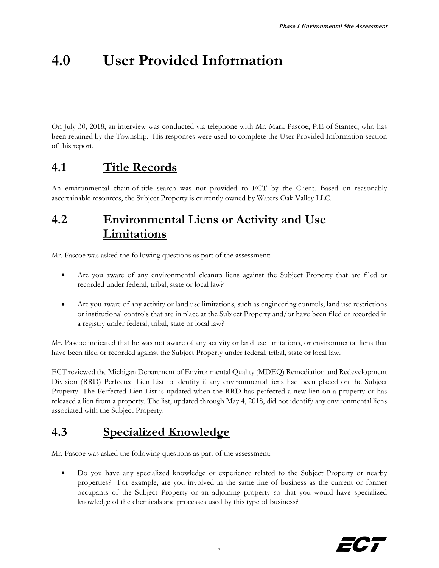# **4.0 User Provided Information**

On July 30, 2018, an interview was conducted via telephone with Mr. Mark Pascoe, P.E of Stantec, who has been retained by the Township. His responses were used to complete the User Provided Information section of this report.

## **4.1 Title Records**

An environmental chain-of-title search was not provided to ECT by the Client. Based on reasonably ascertainable resources, the Subject Property is currently owned by Waters Oak Valley LLC.

# **4.2 Environmental Liens or Activity and Use Limitations**

Mr. Pascoe was asked the following questions as part of the assessment:

- Are you aware of any environmental cleanup liens against the Subject Property that are filed or recorded under federal, tribal, state or local law?
- Are you aware of any activity or land use limitations, such as engineering controls, land use restrictions or institutional controls that are in place at the Subject Property and/or have been filed or recorded in a registry under federal, tribal, state or local law?

Mr. Pascoe indicated that he was not aware of any activity or land use limitations, or environmental liens that have been filed or recorded against the Subject Property under federal, tribal, state or local law.

ECT reviewed the Michigan Department of Environmental Quality (MDEQ) Remediation and Redevelopment Division (RRD) Perfected Lien List to identify if any environmental liens had been placed on the Subject Property. The Perfected Lien List is updated when the RRD has perfected a new lien on a property or has released a lien from a property. The list, updated through May 4, 2018, did not identify any environmental liens associated with the Subject Property.

## **4.3 Specialized Knowledge**

Mr. Pascoe was asked the following questions as part of the assessment:

 Do you have any specialized knowledge or experience related to the Subject Property or nearby properties? For example, are you involved in the same line of business as the current or former occupants of the Subject Property or an adjoining property so that you would have specialized knowledge of the chemicals and processes used by this type of business?

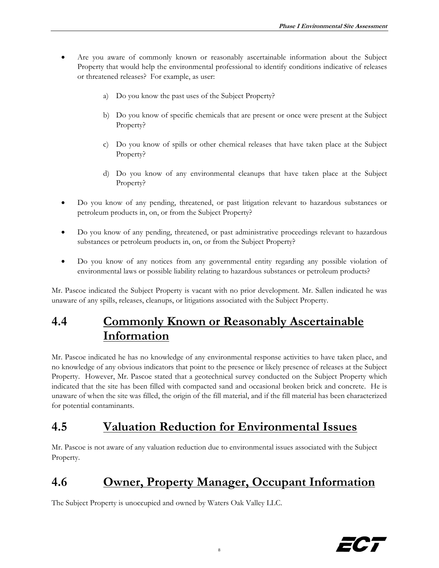- Are you aware of commonly known or reasonably ascertainable information about the Subject Property that would help the environmental professional to identify conditions indicative of releases or threatened releases? For example, as user:
	- a) Do you know the past uses of the Subject Property?
	- b) Do you know of specific chemicals that are present or once were present at the Subject Property?
	- c) Do you know of spills or other chemical releases that have taken place at the Subject Property?
	- d) Do you know of any environmental cleanups that have taken place at the Subject Property?
- Do you know of any pending, threatened, or past litigation relevant to hazardous substances or petroleum products in, on, or from the Subject Property?
- Do you know of any pending, threatened, or past administrative proceedings relevant to hazardous substances or petroleum products in, on, or from the Subject Property?
- Do you know of any notices from any governmental entity regarding any possible violation of environmental laws or possible liability relating to hazardous substances or petroleum products?

Mr. Pascoe indicated the Subject Property is vacant with no prior development. Mr. Sallen indicated he was unaware of any spills, releases, cleanups, or litigations associated with the Subject Property.

# **4.4 Commonly Known or Reasonably Ascertainable Information**

Mr. Pascoe indicated he has no knowledge of any environmental response activities to have taken place, and no knowledge of any obvious indicators that point to the presence or likely presence of releases at the Subject Property. However, Mr. Pascoe stated that a geotechnical survey conducted on the Subject Property which indicated that the site has been filled with compacted sand and occasional broken brick and concrete. He is unaware of when the site was filled, the origin of the fill material, and if the fill material has been characterized for potential contaminants.

## **4.5 Valuation Reduction for Environmental Issues**

Mr. Pascoe is not aware of any valuation reduction due to environmental issues associated with the Subject Property.

# **4.6 Owner, Property Manager, Occupant Information**

The Subject Property is unoccupied and owned by Waters Oak Valley LLC.

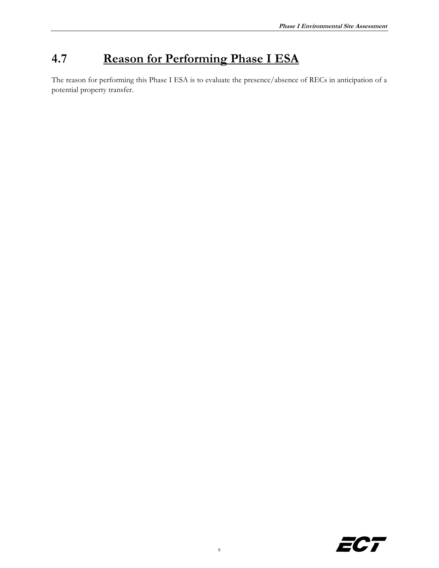# **4.7 Reason for Performing Phase I ESA**

The reason for performing this Phase I ESA is to evaluate the presence/absence of RECs in anticipation of a potential property transfer.

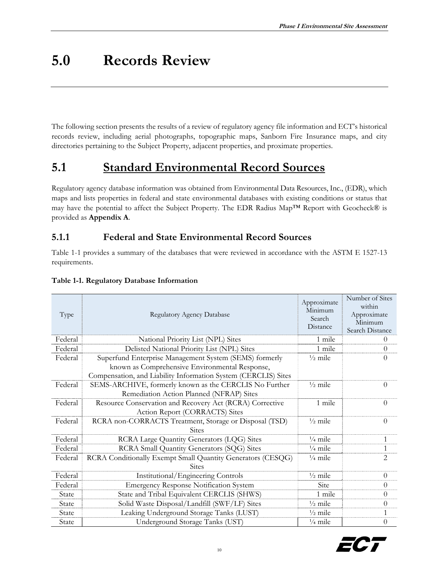# **5.0 Records Review**

The following section presents the results of a review of regulatory agency file information and ECT's historical records review, including aerial photographs, topographic maps, Sanborn Fire Insurance maps, and city directories pertaining to the Subject Property, adjacent properties, and proximate properties.

### **5.1 Standard Environmental Record Sources**

Regulatory agency database information was obtained from Environmental Data Resources, Inc., (EDR), which maps and lists properties in federal and state environmental databases with existing conditions or status that may have the potential to affect the Subject Property. The EDR Radius Map™ Report with Geocheck® is provided as **Appendix A**.

#### **5.1.1 Federal and State Environmental Record Sources**

Table 1-1 provides a summary of the databases that were reviewed in accordance with the ASTM E 1527-13 requirements.

| Type    | Regulatory Agency Database                                     |                    | Number of Sites<br>within<br>Approximate<br>Minimum<br>Search Distance |
|---------|----------------------------------------------------------------|--------------------|------------------------------------------------------------------------|
| Federal | National Priority List (NPL) Sites                             | 1 mile             | 0                                                                      |
| Federal | Delisted National Priority List (NPL) Sites                    | 1 mile             | $\theta$                                                               |
| Federal | Superfund Enterprise Management System (SEMS) formerly         | $\frac{1}{2}$ mile | $\theta$                                                               |
|         | known as Comprehensive Environmental Response,                 |                    |                                                                        |
|         | Compensation, and Liability Information System (CERCLIS) Sites |                    |                                                                        |
| Federal | SEMS-ARCHIVE, formerly known as the CERCLIS No Further         | $\frac{1}{2}$ mile | $\theta$                                                               |
|         | Remediation Action Planned (NFRAP) Sites                       |                    |                                                                        |
| Federal | Resource Conservation and Recovery Act (RCRA) Corrective       | 1 mile             | $\Omega$                                                               |
|         | Action Report (CORRACTS) Sites                                 |                    |                                                                        |
| Federal | RCRA non-CORRACTS Treatment, Storage or Disposal (TSD)         | $\frac{1}{2}$ mile | $\theta$                                                               |
|         | <b>Sites</b>                                                   |                    |                                                                        |
| Federal | RCRA Large Quantity Generators (LQG) Sites                     | $\frac{1}{4}$ mile | $\mathbf{1}$                                                           |
| Federal | RCRA Small Quantity Generators (SQG) Sites                     | $\frac{1}{4}$ mile | $\mathbf{1}$                                                           |
| Federal | RCRA Conditionally Exempt Small Quantity Generators (CESQG)    | $\frac{1}{4}$ mile | 2                                                                      |
|         | <b>Sites</b>                                                   |                    |                                                                        |
| Federal | Institutional/Engineering Controls                             | $\frac{1}{2}$ mile | $\theta$                                                               |
| Federal | <b>Emergency Response Notification System</b>                  | Site               | $\theta$                                                               |
| State   | State and Tribal Equivalent CERCLIS (SHWS)                     | 1 mile             | $\theta$                                                               |
| State   | Solid Waste Disposal/Landfill (SWF/LF) Sites                   | $\frac{1}{2}$ mile | $\theta$                                                               |
| State   | Leaking Underground Storage Tanks (LUST)                       | $\frac{1}{2}$ mile | $\mathbf{1}$                                                           |
| State   | Underground Storage Tanks (UST)                                | $\frac{1}{4}$ mile | $\theta$                                                               |

#### **Table 1-1. Regulatory Database Information**

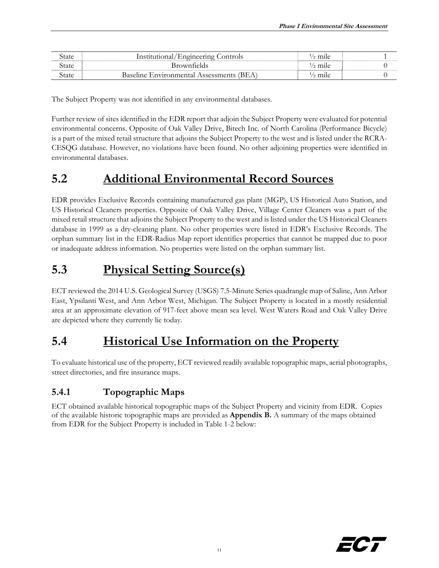| State | Controls<br>Institutional/<br>Engineering        | mile    |  |
|-------|--------------------------------------------------|---------|--|
| state | Brownfields                                      | ′2 mile |  |
| itate | 'BEA<br>Baseline-<br>. Environmental Assessments | mid     |  |

The Subject Property was not identified in any environmental databases.

Further review of sites identified in the EDR report that adjoin the Subject Property were evaluated for potential environmental concerns. Opposite of Oak Valley Drive, Bitech Inc. of North Carolina (Performance Bicycle) is a part of the mixed retail structure that adjoins the Subject Property to the west and is listed under the RCRA-CESQG database. However, no violations have been found. No other adjoining properties were identified in environmental databases.

### **5.2 Additional Environmental Record Sources**

EDR provides Exclusive Records containing manufactured gas plant (MGP), US Historical Auto Station, and US Historical Cleaners properties. Opposite of Oak Valley Drive, Village Center Cleaners was a part of the mixed retail structure that adjoins the Subject Property to the west and is listed under the US Historical Cleaners database in 1999 as a dry-cleaning plant. No other properties were listed in EDR's Exclusive Records. The orphan summary list in the EDR-Radius Map report identifies properties that cannot be mapped due to poor or inadequate address information. No properties were listed on the orphan summary list.

### **5.3 Physical Setting Source(s)**

ECT reviewed the 2014 U.S. Geological Survey (USGS) 7.5-Minute Series quadrangle map of Saline, Ann Arbor East, Ypsilanti West, and Ann Arbor West, Michigan. The Subject Property is located in a mostly residential area at an approximate elevation of 917-feet above mean sea level. West Waters Road and Oak Valley Drive are depicted where they currently lie today.

## **5.4 Historical Use Information on the Property**

To evaluate historical use of the property, ECT reviewed readily available topographic maps, aerial photographs, street directories, and fire insurance maps.

#### **5.4.1 Topographic Maps**

ECT obtained available historical topographic maps of the Subject Property and vicinity from EDR. Copies of the available historic topographic maps are provided as **Appendix B.** A summary of the maps obtained from EDR for the Subject Property is included in Table 1-2 below:

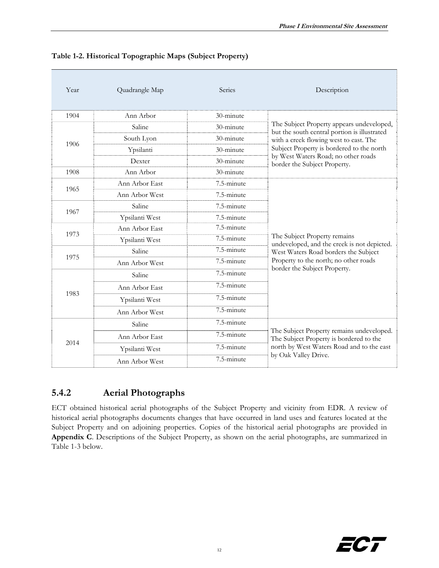| Year | Quadrangle Map | Series     | Description                                                                               |
|------|----------------|------------|-------------------------------------------------------------------------------------------|
| 1904 | Ann Arbor      | 30-minute  |                                                                                           |
|      | Saline         | 30-minute  | The Subject Property appears undeveloped,<br>but the south central portion is illustrated |
| 1906 | South Lyon     | 30-minute  | with a creek flowing west to east. The                                                    |
|      | Ypsilanti      | 30-minute  | Subject Property is bordered to the north                                                 |
|      | Dexter         | 30-minute  | by West Waters Road; no other roads<br>border the Subject Property.                       |
| 1908 | Ann Arbor      | 30-minute  |                                                                                           |
| 1965 | Ann Arbor East | 7.5-minute |                                                                                           |
|      | Ann Arbor West | 7.5-minute |                                                                                           |
| 1967 | Saline         | 7.5-minute |                                                                                           |
|      | Ypsilanti West | 7.5-minute |                                                                                           |
| 1973 | Ann Arbor East | 7.5-minute |                                                                                           |
|      | Ypsilanti West | 7.5-minute | The Subject Property remains<br>undeveloped, and the creek is not depicted.               |
|      | Saline         | 7.5-minute | West Waters Road borders the Subject                                                      |
| 1975 | Ann Arbor West | 7.5-minute | Property to the north; no other roads                                                     |
|      | Saline         | 7.5-minute | border the Subject Property.                                                              |
| 1983 | Ann Arbor East | 7.5-minute |                                                                                           |
|      | Ypsilanti West | 7.5-minute |                                                                                           |
|      | Ann Arbor West | 7.5-minute |                                                                                           |
|      | Saline         | 7.5-minute |                                                                                           |
|      | Ann Arbor East | 7.5-minute | The Subject Property remains undeveloped.<br>The Subject Property is bordered to the      |
| 2014 | Ypsilanti West | 7.5-minute | north by West Waters Road and to the east                                                 |
|      | Ann Arbor West | 7.5-minute | by Oak Valley Drive.                                                                      |

**Table 1-2. Historical Topographic Maps (Subject Property)** 

#### **5.4.2 Aerial Photographs**

ECT obtained historical aerial photographs of the Subject Property and vicinity from EDR. A review of historical aerial photographs documents changes that have occurred in land uses and features located at the Subject Property and on adjoining properties. Copies of the historical aerial photographs are provided in **Appendix C**. Descriptions of the Subject Property, as shown on the aerial photographs, are summarized in Table 1-3 below.

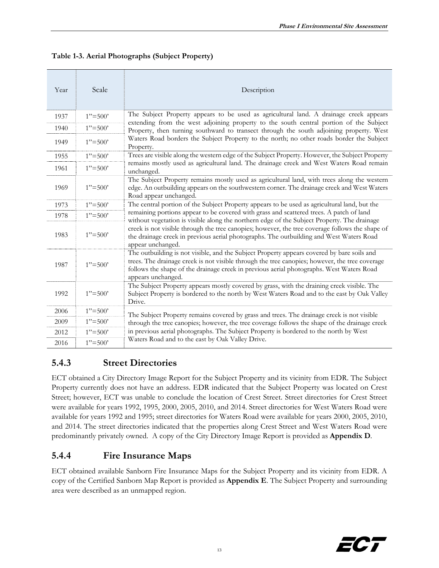| Table 1-3. Aerial Photographs (Subject Property) |  |
|--------------------------------------------------|--|
|--------------------------------------------------|--|

| Year | Scale       | Description                                                                                                                                                                                                                                                                                                    |
|------|-------------|----------------------------------------------------------------------------------------------------------------------------------------------------------------------------------------------------------------------------------------------------------------------------------------------------------------|
| 1937 | $1" = 500"$ | The Subject Property appears to be used as agricultural land. A drainage creek appears                                                                                                                                                                                                                         |
| 1940 | $1" = 500'$ | extending from the west adjoining property to the south central portion of the Subject<br>Property, then turning southward to transect through the south adjoining property. West                                                                                                                              |
| 1949 | $1" = 500"$ | Waters Road borders the Subject Property to the north; no other roads border the Subject<br>Property.                                                                                                                                                                                                          |
| 1955 | $1" = 500"$ | Trees are visible along the western edge of the Subject Property. However, the Subject Property                                                                                                                                                                                                                |
| 1961 | $1" = 500'$ | remains mostly used as agricultural land. The drainage creek and West Waters Road remain<br>unchanged.                                                                                                                                                                                                         |
| 1969 | $1" = 500'$ | The Subject Property remains mostly used as agricultural land, with trees along the western<br>edge. An outbuilding appears on the southwestern corner. The drainage creek and West Waters<br>Road appear unchanged.                                                                                           |
| 1973 | $1" = 500'$ | The central portion of the Subject Property appears to be used as agricultural land, but the                                                                                                                                                                                                                   |
| 1978 | $1" = 500'$ | remaining portions appear to be covered with grass and scattered trees. A patch of land<br>without vegetation is visible along the northern edge of the Subject Property. The drainage                                                                                                                         |
| 1983 | $1" = 500'$ | creek is not visible through the tree canopies; however, the tree coverage follows the shape of<br>the drainage creek in previous aerial photographs. The outbuilding and West Waters Road<br>appear unchanged.                                                                                                |
| 1987 | $1" = 500'$ | The outbuilding is not visible, and the Subject Property appears covered by bare soils and<br>trees. The drainage creek is not visible through the tree canopies; however, the tree coverage<br>follows the shape of the drainage creek in previous aerial photographs. West Waters Road<br>appears unchanged. |
| 1992 | $1" = 500'$ | The Subject Property appears mostly covered by grass, with the draining creek visible. The<br>Subject Property is bordered to the north by West Waters Road and to the east by Oak Valley<br>Drive.                                                                                                            |
| 2006 | $1" = 500"$ | The Subject Property remains covered by grass and trees. The drainage creek is not visible                                                                                                                                                                                                                     |
| 2009 | $1" = 500'$ | through the tree canopies; however, the tree coverage follows the shape of the drainage creek                                                                                                                                                                                                                  |
| 2012 | $1" = 500'$ | in previous aerial photographs. The Subject Property is bordered to the north by West                                                                                                                                                                                                                          |
| 2016 | $1" = 500"$ | Waters Road and to the east by Oak Valley Drive.                                                                                                                                                                                                                                                               |

#### **5.4.3 Street Directories**

ECT obtained a City Directory Image Report for the Subject Property and its vicinity from EDR. The Subject Property currently does not have an address. EDR indicated that the Subject Property was located on Crest Street; however, ECT was unable to conclude the location of Crest Street. Street directories for Crest Street were available for years 1992, 1995, 2000, 2005, 2010, and 2014. Street directories for West Waters Road were available for years 1992 and 1995; street directories for Waters Road were available for years 2000, 2005, 2010, and 2014. The street directories indicated that the properties along Crest Street and West Waters Road were predominantly privately owned. A copy of the City Directory Image Report is provided as **Appendix D**.

#### **5.4.4 Fire Insurance Maps**

ECT obtained available Sanborn Fire Insurance Maps for the Subject Property and its vicinity from EDR. A copy of the Certified Sanborn Map Report is provided as **Appendix E**. The Subject Property and surrounding area were described as an unmapped region.

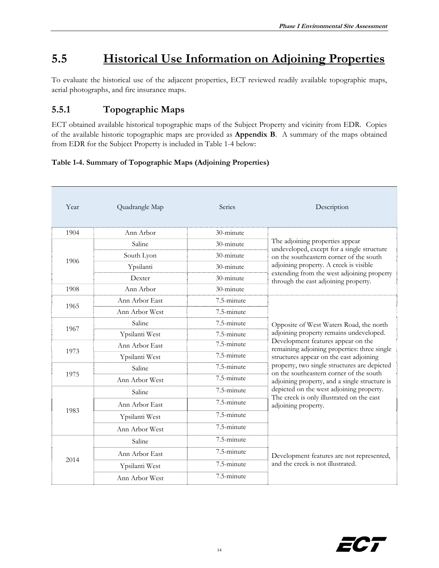# **5.5 Historical Use Information on Adjoining Properties**

To evaluate the historical use of the adjacent properties, ECT reviewed readily available topographic maps, aerial photographs, and fire insurance maps.

#### **5.5.1 Topographic Maps**

ECT obtained available historical topographic maps of the Subject Property and vicinity from EDR. Copies of the available historic topographic maps are provided as **Appendix B**. A summary of the maps obtained from EDR for the Subject Property is included in Table 1-4 below:

#### **Table 1-4. Summary of Topographic Maps (Adjoining Properties)**

| Year | Quadrangle Map | <b>Series</b> | Description                                                                                                                                                                                                                                                                                                                                                                                                                                                                     |  |
|------|----------------|---------------|---------------------------------------------------------------------------------------------------------------------------------------------------------------------------------------------------------------------------------------------------------------------------------------------------------------------------------------------------------------------------------------------------------------------------------------------------------------------------------|--|
| 1904 | Ann Arbor      | 30-minute     | The adjoining properties appear<br>undeveloped, except for a single structure                                                                                                                                                                                                                                                                                                                                                                                                   |  |
|      | Saline         | 30-minute     |                                                                                                                                                                                                                                                                                                                                                                                                                                                                                 |  |
| 1906 | South Lyon     | 30-minute     | on the southeastern corner of the south<br>adjoining property. A creek is visible<br>extending from the west adjoining property<br>through the east adjoining property.                                                                                                                                                                                                                                                                                                         |  |
|      | Ypsilanti      | 30-minute     |                                                                                                                                                                                                                                                                                                                                                                                                                                                                                 |  |
|      | Dexter         | 30-minute     |                                                                                                                                                                                                                                                                                                                                                                                                                                                                                 |  |
| 1908 | Ann Arbor      | 30-minute     |                                                                                                                                                                                                                                                                                                                                                                                                                                                                                 |  |
| 1965 | Ann Arbor East | 7.5-minute    | Opposite of West Waters Road, the north<br>adjoining property remains undeveloped.<br>Development features appear on the<br>remaining adjoining properties: three single<br>structures appear on the east adjoining<br>property, two single structures are depicted<br>on the southeastern corner of the south<br>adjoining property, and a single structure is<br>depicted on the west adjoining property.<br>The creek is only illustrated on the east<br>adjoining property. |  |
|      | Ann Arbor West | 7.5-minute    |                                                                                                                                                                                                                                                                                                                                                                                                                                                                                 |  |
| 1967 | Saline         | 7.5-minute    |                                                                                                                                                                                                                                                                                                                                                                                                                                                                                 |  |
|      | Ypsilanti West | 7.5-minute    |                                                                                                                                                                                                                                                                                                                                                                                                                                                                                 |  |
| 1973 | Ann Arbor East | 7.5-minute    |                                                                                                                                                                                                                                                                                                                                                                                                                                                                                 |  |
|      | Ypsilanti West | 7.5-minute    |                                                                                                                                                                                                                                                                                                                                                                                                                                                                                 |  |
|      | Saline         | 7.5-minute    |                                                                                                                                                                                                                                                                                                                                                                                                                                                                                 |  |
| 1975 | Ann Arbor West | 7.5-minute    |                                                                                                                                                                                                                                                                                                                                                                                                                                                                                 |  |
|      | Saline         | 7.5-minute    |                                                                                                                                                                                                                                                                                                                                                                                                                                                                                 |  |
| 1983 | Ann Arbor East | 7.5-minute    |                                                                                                                                                                                                                                                                                                                                                                                                                                                                                 |  |
|      | Ypsilanti West | 7.5-minute    |                                                                                                                                                                                                                                                                                                                                                                                                                                                                                 |  |
|      | Ann Arbor West | $7.5$ -minute |                                                                                                                                                                                                                                                                                                                                                                                                                                                                                 |  |
|      | Saline         | 7.5-minute    |                                                                                                                                                                                                                                                                                                                                                                                                                                                                                 |  |
| 2014 | Ann Arbor East | 7.5-minute    | Development features are not represented,<br>and the creek is not illustrated.                                                                                                                                                                                                                                                                                                                                                                                                  |  |
|      | Ypsilanti West | 7.5-minute    |                                                                                                                                                                                                                                                                                                                                                                                                                                                                                 |  |
|      | Ann Arbor West | 7.5-minute    |                                                                                                                                                                                                                                                                                                                                                                                                                                                                                 |  |

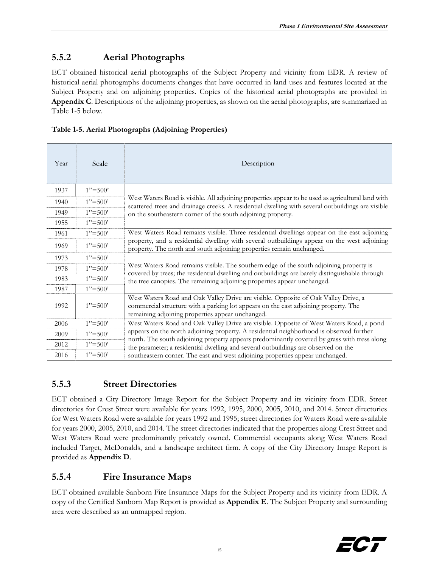#### **5.5.2 Aerial Photographs**

ECT obtained historical aerial photographs of the Subject Property and vicinity from EDR. A review of historical aerial photographs documents changes that have occurred in land uses and features located at the Subject Property and on adjoining properties. Copies of the historical aerial photographs are provided in **Appendix C**. Descriptions of the adjoining properties, as shown on the aerial photographs, are summarized in Table 1-5 below.

| Table 1-5. Aerial Photographs (Adjoining Properties) |  |
|------------------------------------------------------|--|
|------------------------------------------------------|--|

| Year | Scale       | Description                                                                                                                                                                                                                                                                                                                                                                                                                                                                                          |  |
|------|-------------|------------------------------------------------------------------------------------------------------------------------------------------------------------------------------------------------------------------------------------------------------------------------------------------------------------------------------------------------------------------------------------------------------------------------------------------------------------------------------------------------------|--|
| 1937 | $1" = 500'$ | West Waters Road is visible. All adjoining properties appear to be used as agricultural land with<br>scattered trees and drainage creeks. A residential dwelling with several outbuildings are visible<br>on the southeastern corner of the south adjoining property.                                                                                                                                                                                                                                |  |
| 1940 | $1" = 500'$ |                                                                                                                                                                                                                                                                                                                                                                                                                                                                                                      |  |
| 1949 | $1" = 500"$ |                                                                                                                                                                                                                                                                                                                                                                                                                                                                                                      |  |
| 1955 | $1" = 500"$ |                                                                                                                                                                                                                                                                                                                                                                                                                                                                                                      |  |
| 1961 | $1" = 500"$ | West Waters Road remains visible. Three residential dwellings appear on the east adjoining<br>property, and a residential dwelling with several outbuildings appear on the west adjoining<br>property. The north and south adjoining properties remain unchanged.                                                                                                                                                                                                                                    |  |
| 1969 | $1" = 500'$ |                                                                                                                                                                                                                                                                                                                                                                                                                                                                                                      |  |
| 1973 | $1" = 500"$ | West Waters Road remains visible. The southern edge of the south adjoining property is<br>covered by trees; the residential dwelling and outbuildings are barely distinguishable through<br>the tree canopies. The remaining adjoining properties appear unchanged.<br>West Waters Road and Oak Valley Drive are visible. Opposite of Oak Valley Drive, a<br>commercial structure with a parking lot appears on the east adjoining property. The<br>remaining adjoining properties appear unchanged. |  |
| 1978 | $1" = 500'$ |                                                                                                                                                                                                                                                                                                                                                                                                                                                                                                      |  |
| 1983 | $1" = 500'$ |                                                                                                                                                                                                                                                                                                                                                                                                                                                                                                      |  |
| 1987 | $1" = 500"$ |                                                                                                                                                                                                                                                                                                                                                                                                                                                                                                      |  |
| 1992 | $1" = 500"$ |                                                                                                                                                                                                                                                                                                                                                                                                                                                                                                      |  |
| 2006 | $1" = 500"$ | West Waters Road and Oak Valley Drive are visible. Opposite of West Waters Road, a pond<br>appears on the north adjoining property. A residential neighborhood is observed further<br>north. The south adjoining property appears predominantly covered by grass with tress along<br>the parameter; a residential dwelling and several outbuildings are observed on the                                                                                                                              |  |
| 2009 | $1" = 500"$ |                                                                                                                                                                                                                                                                                                                                                                                                                                                                                                      |  |
| 2012 | $1" = 500"$ |                                                                                                                                                                                                                                                                                                                                                                                                                                                                                                      |  |
| 2016 | $1" = 500'$ | southeastern corner. The east and west adjoining properties appear unchanged.                                                                                                                                                                                                                                                                                                                                                                                                                        |  |

#### **5.5.3 Street Directories**

ECT obtained a City Directory Image Report for the Subject Property and its vicinity from EDR. Street directories for Crest Street were available for years 1992, 1995, 2000, 2005, 2010, and 2014. Street directories for West Waters Road were available for years 1992 and 1995; street directories for Waters Road were available for years 2000, 2005, 2010, and 2014. The street directories indicated that the properties along Crest Street and West Waters Road were predominantly privately owned. Commercial occupants along West Waters Road included Target, McDonalds, and a landscape architect firm. A copy of the City Directory Image Report is provided as **Appendix D**.

#### **5.5.4 Fire Insurance Maps**

ECT obtained available Sanborn Fire Insurance Maps for the Subject Property and its vicinity from EDR. A copy of the Certified Sanborn Map Report is provided as **Appendix E**. The Subject Property and surrounding area were described as an unmapped region.

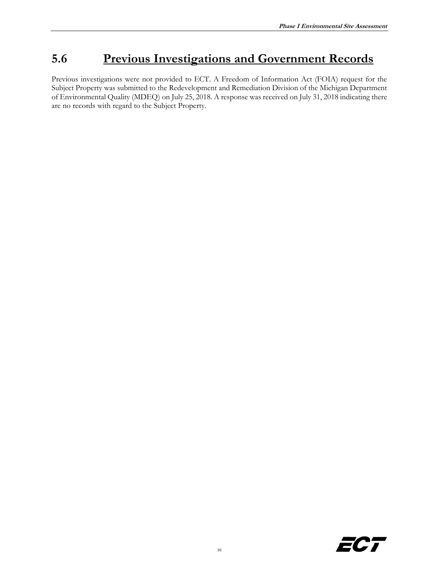### **5.6 Previous Investigations and Government Records**

Previous investigations were not provided to ECT. A Freedom of Information Act (FOIA) request for the Subject Property was submitted to the Redevelopment and Remediation Division of the Michigan Department of Environmental Quality (MDEQ) on July 25, 2018. A response was received on July 31, 2018 indicating there are no records with regard to the Subject Property.

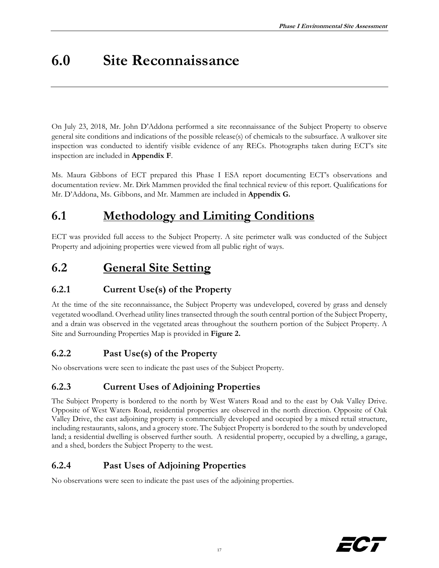# **6.0 Site Reconnaissance**

On July 23, 2018, Mr. John D'Addona performed a site reconnaissance of the Subject Property to observe general site conditions and indications of the possible release(s) of chemicals to the subsurface. A walkover site inspection was conducted to identify visible evidence of any RECs. Photographs taken during ECT's site inspection are included in **Appendix F**.

Ms. Maura Gibbons of ECT prepared this Phase I ESA report documenting ECT's observations and documentation review. Mr. Dirk Mammen provided the final technical review of this report. Qualifications for Mr. D'Addona, Ms. Gibbons, and Mr. Mammen are included in **Appendix G.**

## **6.1 Methodology and Limiting Conditions**

ECT was provided full access to the Subject Property. A site perimeter walk was conducted of the Subject Property and adjoining properties were viewed from all public right of ways.

# **6.2 General Site Setting**

#### **6.2.1 Current Use(s) of the Property**

At the time of the site reconnaissance, the Subject Property was undeveloped, covered by grass and densely vegetated woodland. Overhead utility lines transected through the south central portion of the Subject Property, and a drain was observed in the vegetated areas throughout the southern portion of the Subject Property. A Site and Surrounding Properties Map is provided in **Figure 2.** 

#### **6.2.2 Past Use(s) of the Property**

No observations were seen to indicate the past uses of the Subject Property.

#### **6.2.3 Current Uses of Adjoining Properties**

The Subject Property is bordered to the north by West Waters Road and to the east by Oak Valley Drive. Opposite of West Waters Road, residential properties are observed in the north direction. Opposite of Oak Valley Drive, the east adjoining property is commercially developed and occupied by a mixed retail structure, including restaurants, salons, and a grocery store. The Subject Property is bordered to the south by undeveloped land; a residential dwelling is observed further south. A residential property, occupied by a dwelling, a garage, and a shed, borders the Subject Property to the west.

#### **6.2.4 Past Uses of Adjoining Properties**

No observations were seen to indicate the past uses of the adjoining properties.

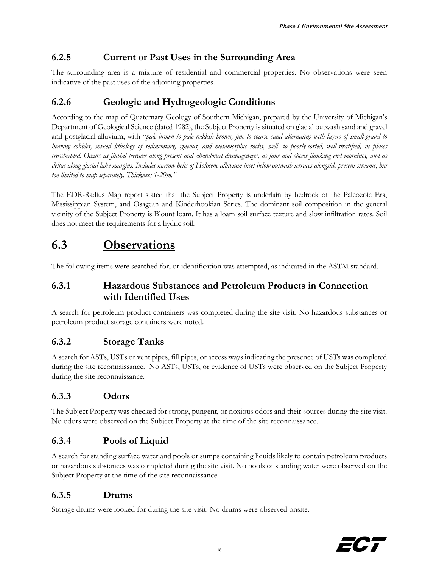#### **6.2.5 Current or Past Uses in the Surrounding Area**

The surrounding area is a mixture of residential and commercial properties. No observations were seen indicative of the past uses of the adjoining properties.

#### **6.2.6 Geologic and Hydrogeologic Conditions**

According to the map of Quaternary Geology of Southern Michigan, prepared by the University of Michigan's Department of Geological Science (dated 1982), the Subject Property is situated on glacial outwash sand and gravel and postglacial alluvium, with "*pale brown to pale reddish brown, fine to coarse sand alternating with layers of small gravel to heaving cobbles, mixed lithology of sedimentary, igneous, and metamorphic rocks, well- to poorly-sorted, well-stratified, in places crossbedded. Occurs as fluvial terraces along present and abandoned drainageways, as fans and sheets flanking end moraines, and as deltas along glacial lake margins. Includes narrow belts of Holocene alluvium inset below outwash terraces alongside present streams, but too limited to map separately. Thickness 1-20m."* 

The EDR-Radius Map report stated that the Subject Property is underlain by bedrock of the Paleozoic Era, Mississippian System, and Osagean and Kinderhookian Series. The dominant soil composition in the general vicinity of the Subject Property is Blount loam. It has a loam soil surface texture and slow infiltration rates. Soil does not meet the requirements for a hydric soil.

## **6.3 Observations**

The following items were searched for, or identification was attempted, as indicated in the ASTM standard.

#### **6.3.1 Hazardous Substances and Petroleum Products in Connection with Identified Uses**

A search for petroleum product containers was completed during the site visit. No hazardous substances or petroleum product storage containers were noted.

#### **6.3.2 Storage Tanks**

A search for ASTs, USTs or vent pipes, fill pipes, or access ways indicating the presence of USTs was completed during the site reconnaissance. No ASTs, USTs, or evidence of USTs were observed on the Subject Property during the site reconnaissance.

#### **6.3.3 Odors**

The Subject Property was checked for strong, pungent, or noxious odors and their sources during the site visit. No odors were observed on the Subject Property at the time of the site reconnaissance.

#### **6.3.4 Pools of Liquid**

A search for standing surface water and pools or sumps containing liquids likely to contain petroleum products or hazardous substances was completed during the site visit. No pools of standing water were observed on the Subject Property at the time of the site reconnaissance.

#### **6.3.5 Drums**

Storage drums were looked for during the site visit. No drums were observed onsite.

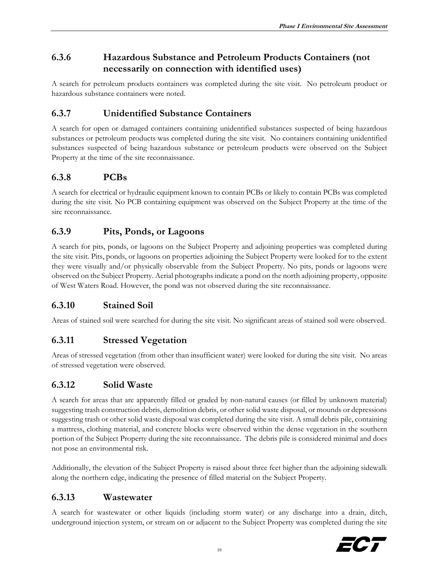#### **6.3.6 Hazardous Substance and Petroleum Products Containers (not necessarily on connection with identified uses)**

A search for petroleum products containers was completed during the site visit. No petroleum product or hazardous substance containers were noted.

#### **6.3.7 Unidentified Substance Containers**

A search for open or damaged containers containing unidentified substances suspected of being hazardous substances or petroleum products was completed during the site visit. No containers containing unidentified substances suspected of being hazardous substance or petroleum products were observed on the Subject Property at the time of the site reconnaissance.

#### **6.3.8 PCBs**

A search for electrical or hydraulic equipment known to contain PCBs or likely to contain PCBs was completed during the site visit. No PCB containing equipment was observed on the Subject Property at the time of the sire reconnaissance.

#### **6.3.9 Pits, Ponds, or Lagoons**

A search for pits, ponds, or lagoons on the Subject Property and adjoining properties was completed during the site visit. Pits, ponds, or lagoons on properties adjoining the Subject Property were looked for to the extent they were visually and/or physically observable from the Subject Property. No pits, ponds or lagoons were observed on the Subject Property. Aerial photographs indicate a pond on the north adjoining property, opposite of West Waters Road. However, the pond was not observed during the site reconnaissance.

#### **6.3.10 Stained Soil**

Areas of stained soil were searched for during the site visit. No significant areas of stained soil were observed.

#### **6.3.11 Stressed Vegetation**

Areas of stressed vegetation (from other than insufficient water) were looked for during the site visit. No areas of stressed vegetation were observed.

#### **6.3.12 Solid Waste**

A search for areas that are apparently filled or graded by non-natural causes (or filled by unknown material) suggesting trash construction debris, demolition debris, or other solid waste disposal, or mounds or depressions suggesting trash or other solid waste disposal was completed during the site visit. A small debris pile, containing a mattress, clothing material, and concrete blocks were observed within the dense vegetation in the southern portion of the Subject Property during the site reconnaissance. The debris pile is considered minimal and does not pose an environmental risk.

Additionally, the elevation of the Subject Property is raised about three feet higher than the adjoining sidewalk along the northern edge, indicating the presence of filled material on the Subject Property.

#### **6.3.13 Wastewater**

A search for wastewater or other liquids (including storm water) or any discharge into a drain, ditch, underground injection system, or stream on or adjacent to the Subject Property was completed during the site

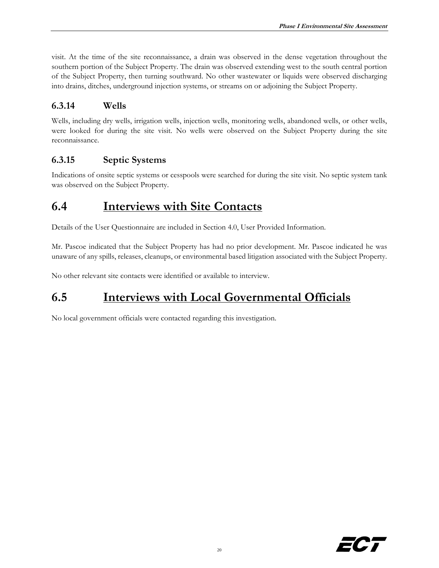visit. At the time of the site reconnaissance, a drain was observed in the dense vegetation throughout the southern portion of the Subject Property. The drain was observed extending west to the south central portion of the Subject Property, then turning southward. No other wastewater or liquids were observed discharging into drains, ditches, underground injection systems, or streams on or adjoining the Subject Property.

#### **6.3.14 Wells**

Wells, including dry wells, irrigation wells, injection wells, monitoring wells, abandoned wells, or other wells, were looked for during the site visit. No wells were observed on the Subject Property during the site reconnaissance.

#### **6.3.15 Septic Systems**

Indications of onsite septic systems or cesspools were searched for during the site visit. No septic system tank was observed on the Subject Property.

### **6.4 Interviews with Site Contacts**

Details of the User Questionnaire are included in Section 4.0, User Provided Information.

Mr. Pascoe indicated that the Subject Property has had no prior development. Mr. Pascoe indicated he was unaware of any spills, releases, cleanups, or environmental based litigation associated with the Subject Property.

No other relevant site contacts were identified or available to interview.

## **6.5 Interviews with Local Governmental Officials**

No local government officials were contacted regarding this investigation.

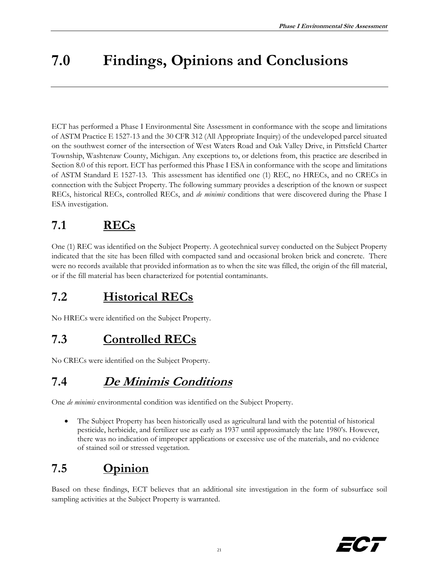# **7.0 Findings, Opinions and Conclusions**

ECT has performed a Phase I Environmental Site Assessment in conformance with the scope and limitations of ASTM Practice E 1527-13 and the 30 CFR 312 (All Appropriate Inquiry) of the undeveloped parcel situated on the southwest corner of the intersection of West Waters Road and Oak Valley Drive, in Pittsfield Charter Township, Washtenaw County, Michigan. Any exceptions to, or deletions from, this practice are described in Section 8.0 of this report. ECT has performed this Phase I ESA in conformance with the scope and limitations of ASTM Standard E 1527-13. This assessment has identified one (1) REC, no HRECs, and no CRECs in connection with the Subject Property. The following summary provides a description of the known or suspect RECs, historical RECs, controlled RECs, and *de minimis* conditions that were discovered during the Phase I ESA investigation.

# **7.1 RECs**

One (1) REC was identified on the Subject Property. A geotechnical survey conducted on the Subject Property indicated that the site has been filled with compacted sand and occasional broken brick and concrete. There were no records available that provided information as to when the site was filled, the origin of the fill material, or if the fill material has been characterized for potential contaminants.

# **7.2 Historical RECs**

No HRECs were identified on the Subject Property.

## **7.3 Controlled RECs**

No CRECs were identified on the Subject Property.

# **7.4 De Minimis Conditions**

One *de minimis* environmental condition was identified on the Subject Property.

 The Subject Property has been historically used as agricultural land with the potential of historical pesticide, herbicide, and fertilizer use as early as 1937 until approximately the late 1980's. However, there was no indication of improper applications or excessive use of the materials, and no evidence of stained soil or stressed vegetation.

# **7.5 Opinion**

Based on these findings, ECT believes that an additional site investigation in the form of subsurface soil sampling activities at the Subject Property is warranted.

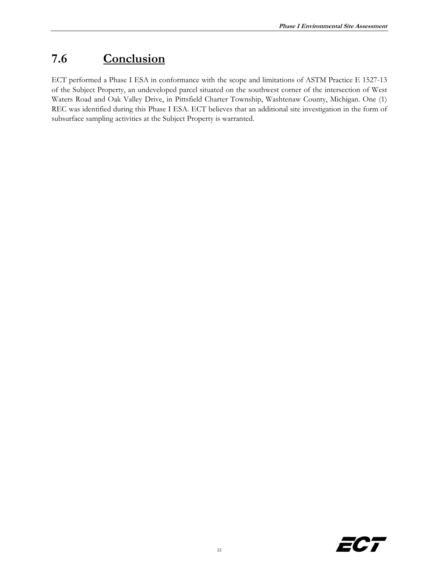# **7.6 Conclusion**

ECT performed a Phase I ESA in conformance with the scope and limitations of ASTM Practice E 1527-13 of the Subject Property, an undeveloped parcel situated on the southwest corner of the intersection of West Waters Road and Oak Valley Drive, in Pittsfield Charter Township, Washtenaw County, Michigan. One (1) REC was identified during this Phase I ESA. ECT believes that an additional site investigation in the form of subsurface sampling activities at the Subject Property is warranted.

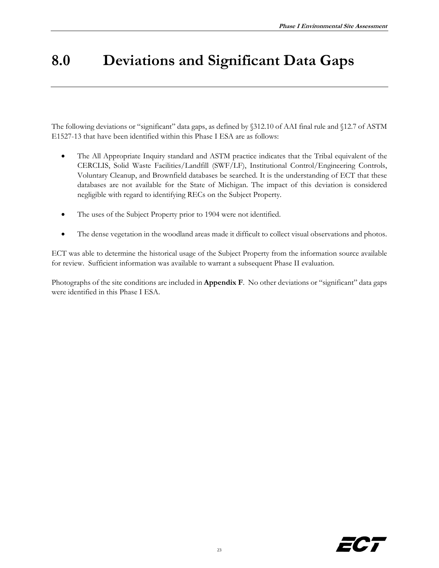# **8.0 Deviations and Significant Data Gaps**

The following deviations or "significant" data gaps, as defined by §312.10 of AAI final rule and §12.7 of ASTM E1527-13 that have been identified within this Phase I ESA are as follows:

- The All Appropriate Inquiry standard and ASTM practice indicates that the Tribal equivalent of the CERCLIS, Solid Waste Facilities/Landfill (SWF/LF), Institutional Control/Engineering Controls, Voluntary Cleanup, and Brownfield databases be searched. It is the understanding of ECT that these databases are not available for the State of Michigan. The impact of this deviation is considered negligible with regard to identifying RECs on the Subject Property.
- The uses of the Subject Property prior to 1904 were not identified.
- The dense vegetation in the woodland areas made it difficult to collect visual observations and photos.

ECT was able to determine the historical usage of the Subject Property from the information source available for review. Sufficient information was available to warrant a subsequent Phase II evaluation.

Photographs of the site conditions are included in **Appendix F**. No other deviations or "significant" data gaps were identified in this Phase I ESA.

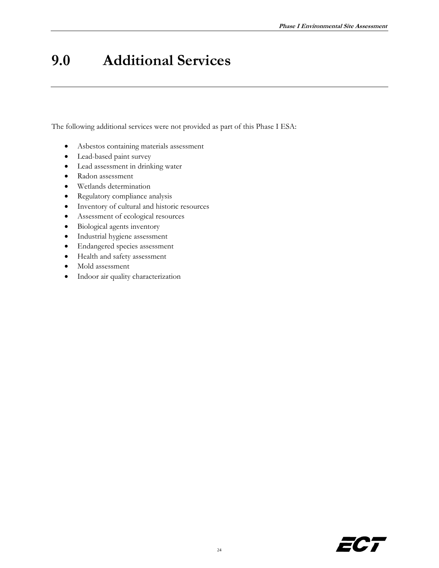# **9.0 Additional Services**

The following additional services were not provided as part of this Phase I ESA:

- Asbestos containing materials assessment
- Lead-based paint survey
- Lead assessment in drinking water
- Radon assessment
- Wetlands determination
- Regulatory compliance analysis
- Inventory of cultural and historic resources
- Assessment of ecological resources
- Biological agents inventory
- Industrial hygiene assessment
- Endangered species assessment
- Health and safety assessment
- Mold assessment
- Indoor air quality characterization